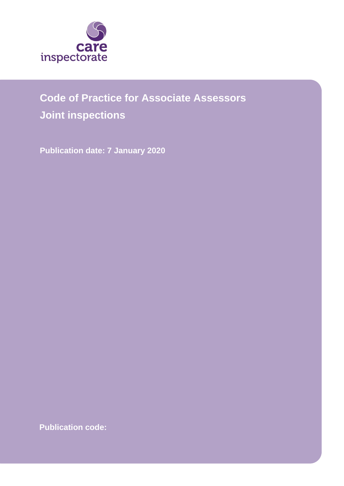

# **Code of Practice for Associate Assessors**

**Joint inspections**

**Publication date: 7 January 2020**

**Publication code:**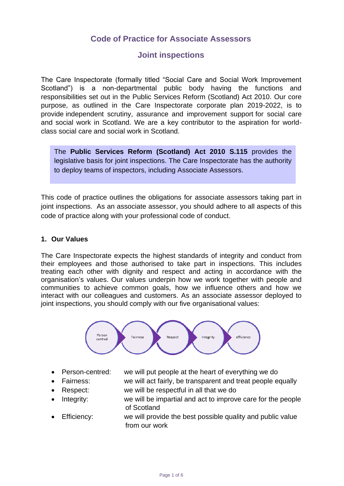## **Code of Practice for Associate Assessors**

### **Joint inspections**

The Care Inspectorate (formally titled "Social Care and Social Work Improvement Scotland") is a non-departmental public body having the functions and responsibilities set out in the [Public Services Reform \(Scotland\) Act 2010.](http://www.legislation.gov.uk/asp/2010/8/contents) Our core purpose, as outlined in the [Care Inspectorate corporate plan 2019-2022,](https://www.careinspectorate.com/images/documents/4858/Corporate%20Plan%202019-2022.pdf) is to provide independent scrutiny, assurance and improvement support for social care and social work in Scotland. We are a key contributor to the aspiration for worldclass social care and social work in Scotland.

The **Public Services Reform (Scotland) Act 2010 S.115** provides the legislative basis for joint inspections. The Care Inspectorate has the authority to deploy teams of inspectors, including Associate Assessors.

This code of practice outlines the obligations for associate assessors taking part in joint inspections. As an associate assessor, you should adhere to all aspects of this code of practice along with your professional code of conduct.

#### **1. Our Values**

The Care Inspectorate expects the highest standards of integrity and conduct from their employees and those authorised to take part in inspections. This includes treating each other with dignity and respect and acting in accordance with the organisation's values. Our values underpin how we work together with people and communities to achieve common goals, how we influence others and how we interact with our colleagues and customers. As an associate assessor deployed to joint inspections, you should comply with our [five organisational values:](https://www.careinspectorate.com/index.php/our-staff)



- Person-centred: we will put people at the heart of everything we do
- - Fairness: we will act fairly, be transparent and treat people equally • Respect: we will be respectful in all that we do
- Integrity: we will be impartial and act to improve care for the people of Scotland
- Efficiency: we will provide the best possible quality and public value from our work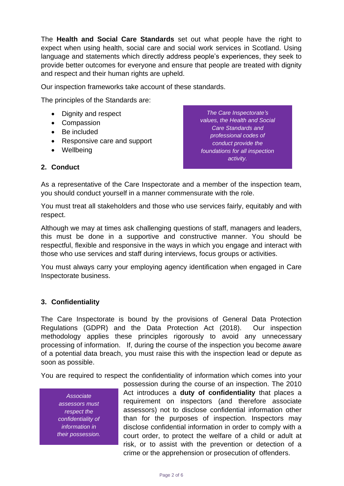The **[Health and Social Care Standards](https://www.gov.scot/publications/health-social-care-standards-support-life/)** set out what people have the right to expect when using health, social care and social work services in Scotland. Using language and statements which directly address people's experiences, they seek to provide better outcomes for everyone and ensure that people are treated with dignity and respect and their human rights are upheld.

Our inspection frameworks take account of these standards.

The principles of the Standards are:

- Dignity and respect
- Compassion
- Be included
- Responsive care and support
- Wellbeing

*The Care Inspectorate's values, the Health and Social Care Standards and professional codes of conduct provide the foundations for all inspection activity.*

#### **2. Conduct**

As a representative of the Care Inspectorate and a member of the inspection team, you should conduct yourself in a manner commensurate with the role.

You must treat all stakeholders and those who use services fairly, equitably and with respect.

Although we may at times ask challenging questions of staff, managers and leaders, this must be done in a supportive and constructive manner. You should be respectful, flexible and responsive in the ways in which you engage and interact with those who use services and staff during interviews, focus groups or activities.

You must always carry your employing agency identification when engaged in Care Inspectorate business.

#### **3. Confidentiality**

The Care Inspectorate is bound by the provisions of [General Data](https://www.gov.uk/government/publications/guide-to-the-general-data-protection-regulation) Protection [Regulations](https://www.gov.uk/government/publications/guide-to-the-general-data-protection-regulation) (GDPR) and the [Data Protection Act \(2018\).](http://www.legislation.gov.uk/ukpga/2018/12/contents/enacted) Our inspection methodology applies these principles rigorously to avoid any unnecessary processing of information. If, during the course of the inspection you become aware of a potential data breach, you must raise this with the inspection lead or depute as soon as possible.

You are required to respect the confidentiality of information which comes into your

*Associate assessors must respect the confidentiality of information in their possession.*

possession during the course of an inspection. The 2010 Act introduces a **duty of confidentiality** that places a requirement on inspectors (and therefore associate assessors) not to disclose confidential information other than for the purposes of inspection. Inspectors may disclose confidential information in order to comply with a court order, to protect the welfare of a child or adult at risk, or to assist with the prevention or detection of a crime or the apprehension or prosecution of offenders.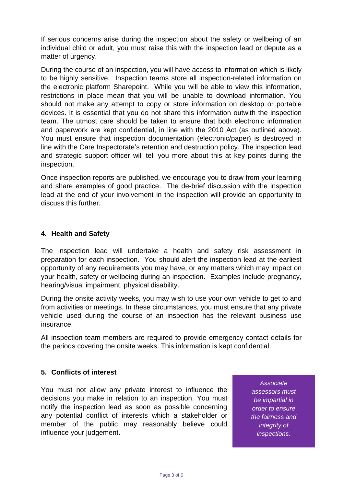If serious concerns arise during the inspection about the safety or wellbeing of an individual child or adult, you must raise this with the inspection lead or depute as a matter of urgency.

During the course of an inspection, you will have access to information which is likely to be highly sensitive. Inspection teams store all inspection-related information on the electronic platform Sharepoint. While you will be able to view this information, restrictions in place mean that you will be unable to download information. You should not make any attempt to copy or store information on desktop or portable devices. It is essential that you do not share this information outwith the inspection team. The utmost care should be taken to ensure that both electronic information and paperwork are kept confidential, in line with the 2010 Act (as outlined above). You must ensure that inspection documentation (electronic/paper) is destroyed in line with the Care Inspectorate's retention and destruction policy. The inspection lead and strategic support officer will tell you more about this at key points during the inspection.

Once inspection reports are published, we encourage you to draw from your learning and share examples of good practice. The de-brief discussion with the inspection lead at the end of your involvement in the inspection will provide an opportunity to discuss this further.

#### **4. Health and Safety**

The inspection lead will undertake a health and safety risk assessment in preparation for each inspection. You should alert the inspection lead at the earliest opportunity of any requirements you may have, or any matters which may impact on your health, safety or wellbeing during an inspection. Examples include pregnancy, hearing/visual impairment, physical disability.

During the onsite activity weeks, you may wish to use your own vehicle to get to and from activities or meetings. In these circumstances, you must ensure that any private vehicle used during the course of an inspection has the relevant business use insurance.

All inspection team members are required to provide emergency contact details for the periods covering the onsite weeks. This information is kept confidential.

#### **5. Conflicts of interest**

You must not allow any private interest to influence the decisions you make in relation to an inspection. You must notify the inspection lead as soon as possible concerning any potential conflict of interests which a stakeholder or member of the public may reasonably believe could influence your judgement.

*Associate assessors must be impartial in order to ensure the fairness and integrity of inspections.*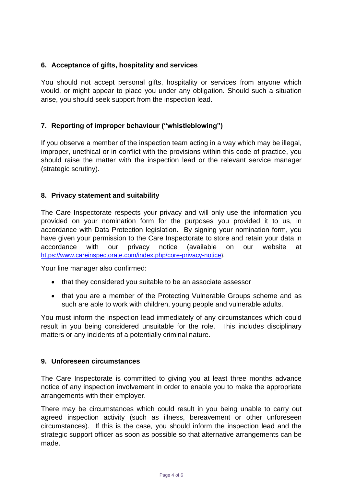#### **6. Acceptance of gifts, hospitality and services**

You should not accept personal gifts, hospitality or services from anyone which would, or might appear to place you under any obligation. Should such a situation arise, you should seek support from the inspection lead.

#### **7. Reporting of improper behaviour ("whistleblowing")**

If you observe a member of the inspection team acting in a way which may be illegal, improper, unethical or in conflict with the provisions within this code of practice, you should raise the matter with the inspection lead or the relevant service manager (strategic scrutiny).

#### **8. Privacy statement and suitability**

The Care Inspectorate respects your privacy and will only use the information you provided on your nomination form for the purposes you provided it to us, in accordance with Data Protection legislation. By signing your nomination form, you have given your permission to the Care Inspectorate to store and retain your data in accordance with our privacy notice (available on our website at <https://www.careinspectorate.com/index.php/core-privacy-notice>).

Your line manager also confirmed:

- that they considered you suitable to be an associate assessor
- that you are a member of the Protecting Vulnerable Groups scheme and as such are able to work with children, young people and vulnerable adults.

You must inform the inspection lead immediately of any circumstances which could result in you being considered unsuitable for the role. This includes disciplinary matters or any incidents of a potentially criminal nature.

#### **9. Unforeseen circumstances**

The Care Inspectorate is committed to giving you at least three months advance notice of any inspection involvement in order to enable you to make the appropriate arrangements with their employer.

There may be circumstances which could result in you being unable to carry out agreed inspection activity (such as illness, bereavement or other unforeseen circumstances). If this is the case, you should inform the inspection lead and the strategic support officer as soon as possible so that alternative arrangements can be made.